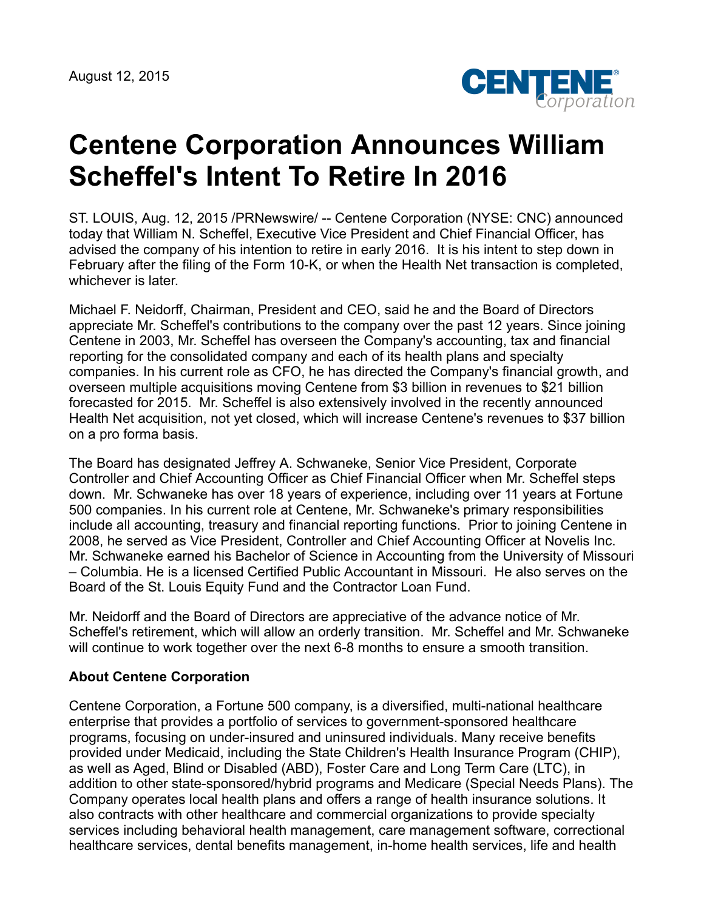

## **Centene Corporation Announces William Scheffel's Intent To Retire In 2016**

ST. LOUIS, Aug. 12, 2015 /PRNewswire/ -- Centene Corporation (NYSE: CNC) announced today that William N. Scheffel, Executive Vice President and Chief Financial Officer, has advised the company of his intention to retire in early 2016. It is his intent to step down in February after the filing of the Form 10-K, or when the Health Net transaction is completed, whichever is later.

Michael F. Neidorff, Chairman, President and CEO, said he and the Board of Directors appreciate Mr. Scheffel's contributions to the company over the past 12 years. Since joining Centene in 2003, Mr. Scheffel has overseen the Company's accounting, tax and financial reporting for the consolidated company and each of its health plans and specialty companies. In his current role as CFO, he has directed the Company's financial growth, and overseen multiple acquisitions moving Centene from \$3 billion in revenues to \$21 billion forecasted for 2015. Mr. Scheffel is also extensively involved in the recently announced Health Net acquisition, not yet closed, which will increase Centene's revenues to \$37 billion on a pro forma basis.

The Board has designated Jeffrey A. Schwaneke, Senior Vice President, Corporate Controller and Chief Accounting Officer as Chief Financial Officer when Mr. Scheffel steps down. Mr. Schwaneke has over 18 years of experience, including over 11 years at Fortune 500 companies. In his current role at Centene, Mr. Schwaneke's primary responsibilities include all accounting, treasury and financial reporting functions. Prior to joining Centene in 2008, he served as Vice President, Controller and Chief Accounting Officer at Novelis Inc. Mr. Schwaneke earned his Bachelor of Science in Accounting from the University of Missouri – Columbia. He is a licensed Certified Public Accountant in Missouri. He also serves on the Board of the St. Louis Equity Fund and the Contractor Loan Fund.

Mr. Neidorff and the Board of Directors are appreciative of the advance notice of Mr. Scheffel's retirement, which will allow an orderly transition. Mr. Scheffel and Mr. Schwaneke will continue to work together over the next 6-8 months to ensure a smooth transition.

## **About Centene Corporation**

Centene Corporation, a Fortune 500 company, is a diversified, multi-national healthcare enterprise that provides a portfolio of services to government-sponsored healthcare programs, focusing on under-insured and uninsured individuals. Many receive benefits provided under Medicaid, including the State Children's Health Insurance Program (CHIP), as well as Aged, Blind or Disabled (ABD), Foster Care and Long Term Care (LTC), in addition to other state-sponsored/hybrid programs and Medicare (Special Needs Plans). The Company operates local health plans and offers a range of health insurance solutions. It also contracts with other healthcare and commercial organizations to provide specialty services including behavioral health management, care management software, correctional healthcare services, dental benefits management, in-home health services, life and health